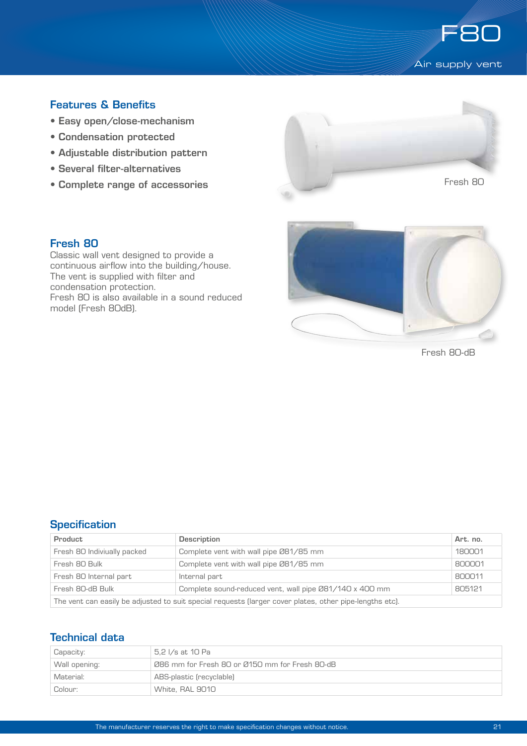

# Features & Benefits

- Easy open/close-mechanism
- Condensation protected
- Adjustable distribution pattern
- Several filter-alternatives
- Complete range of accessories



#### Fresh 80

Classic wall vent designed to provide a continuous airflow into the building/house. The vent is supplied with filter and condensation protection. Fresh 80 is also available in a sound reduced model (Fresh 80dB).



Fresh 80-dB

# **Specification**

| Product                                                                                                 | <b>Description</b>                                      | Art. no. |  |  |
|---------------------------------------------------------------------------------------------------------|---------------------------------------------------------|----------|--|--|
| Fresh 80 Indiviually packed                                                                             | Complete vent with wall pipe 081/85 mm                  | 180001   |  |  |
| Fresh 80 Bulk                                                                                           | Complete vent with wall pipe Ø81/85 mm                  | 800001   |  |  |
| Fresh 80 Internal part                                                                                  | Internal part                                           | 800011   |  |  |
| Fresh 80-dB Bulk                                                                                        | Complete sound-reduced vent, wall pipe Ø81/140 x 400 mm | 805121   |  |  |
| The vent can easily be adjusted to suit special requests (larger cover plates, other pipe-lengths etc). |                                                         |          |  |  |

# Technical data

| Capacity:     | 5.2 I/s at 10 Pa                               |  |
|---------------|------------------------------------------------|--|
| Wall opening: | Ø86 mm for Fresh 80 or Ø150 mm for Fresh 80-dB |  |
| Material:     | ABS-plastic (recyclable)                       |  |
| Colour:       | White, RAL 9010                                |  |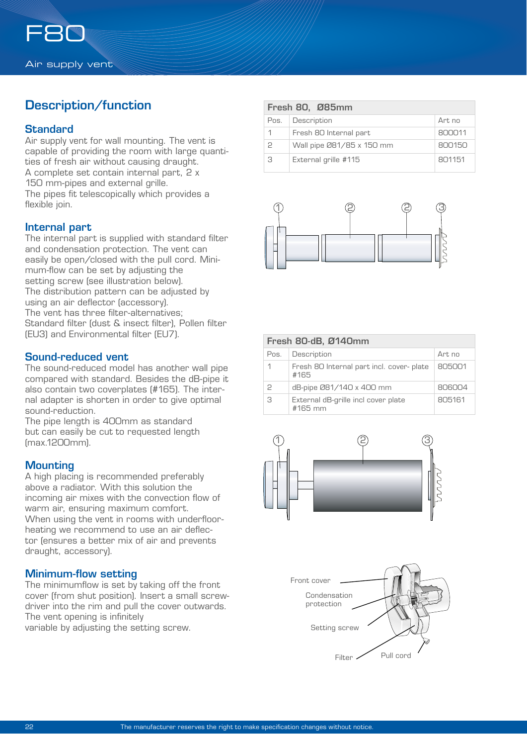# Description/function

## **Standard**

Air supply vent for wall mounting. The vent is capable of providing the room with large quantities of fresh air without causing draught. A complete set contain internal part, 2 x 150 mm-pipes and external grille. The pipes fit telescopically which provides a flexible join.

#### Internal part

The internal part is supplied with standard filter and condensation protection. The vent can easily be open/closed with the pull cord. Minimum-flow can be set by adjusting the setting screw (see illustration below). The distribution pattern can be adjusted by using an air deflector (accessory). The vent has three filter-alternatives; Standard filter (dust & insect filter), Pollen filter (EU3) and Environmental filter (EU7).

#### Sound-reduced vent

The sound-reduced model has another wall pipe compared with standard. Besides the dB-pipe it also contain two coverplates (#165). The internal adapter is shorten in order to give optimal sound-reduction.

The pipe length is 400mm as standard but can easily be cut to requested length (max.1200mm).

## **Mounting**

A high placing is recommended preferably above a radiator. With this solution the incoming air mixes with the convection flow of warm air, ensuring maximum comfort. When using the vent in rooms with underfloorheating we recommend to use an air deflector (ensures a better mix of air and prevents draught, accessory).

## Minimum-flow setting

The minimumflow is set by taking off the front cover (from shut position). Insert a small screwdriver into the rim and pull the cover outwards. The vent opening is infinitely

variable by adjusting the setting screw.

| Fresh 80, Ø85mm |                           |        |  |  |
|-----------------|---------------------------|--------|--|--|
| Pos.            | Description               | Art no |  |  |
|                 | Fresh 80 Internal part    | 800011 |  |  |
| 2               | Wall pipe 081/85 x 150 mm | 800150 |  |  |
| З               | External grille #115      | 801151 |  |  |



| Fresh 80-dB, Ø140mm |                                                  |        |  |  |
|---------------------|--------------------------------------------------|--------|--|--|
| Pos.                | Description                                      | Art no |  |  |
|                     | Fresh 80 Internal part incl. cover-plate<br>#165 | 805001 |  |  |
| 2                   | dB-pipe 081/140 x 400 mm                         | 806004 |  |  |
| 3                   | External dB-grille incl cover plate<br>$#165$ mm | 805161 |  |  |



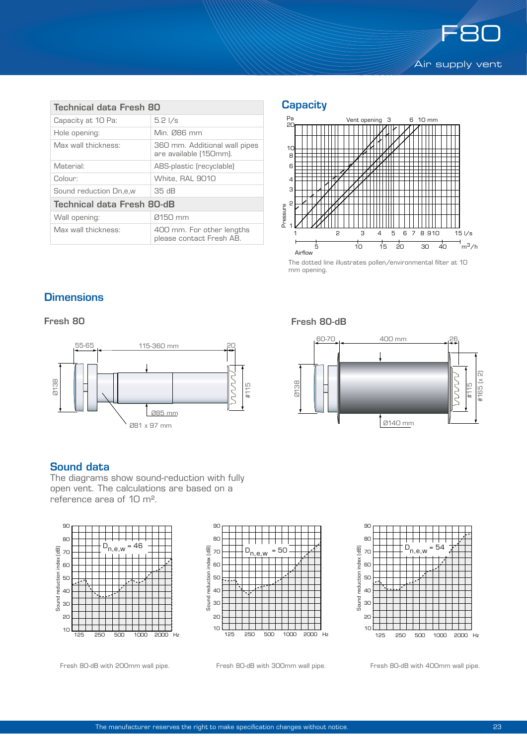

| Technical data Fresh 80    |                                                         |  |  |  |
|----------------------------|---------------------------------------------------------|--|--|--|
| Capacity at 10 Pa:         | $5.2 \frac{\text{1}}{\text{s}}$                         |  |  |  |
| Hole opening:              | Min. Ø86 mm                                             |  |  |  |
| Max wall thickness:        | 360 mm. Additional wall pipes<br>are available (150mm). |  |  |  |
| Material:                  | ABS-plastic (recyclable)                                |  |  |  |
| Colour:                    | White, RAL 9010                                         |  |  |  |
| Sound reduction Dn.e.w     | 35dB                                                    |  |  |  |
| Technical data Fresh 80-dB |                                                         |  |  |  |
| Wall opening:              | 0150 mm                                                 |  |  |  |
| Max wall thickness:        | 400 mm. For other lengths<br>please contact Fresh AB.   |  |  |  |

# **Capacity**



mm opening.

# **Dimensions**

Fresh 80



#### Sound data

The diagrams show sound-reduction with fully open vent. The calculations are based on a reference area of 10 m².







Fresh 80-dB with 200mm wall pipe. Fresh 80-dB with 300mm wall pipe. Fresh 80-dB with 400mm wall pipe.

Fresh 80-dB